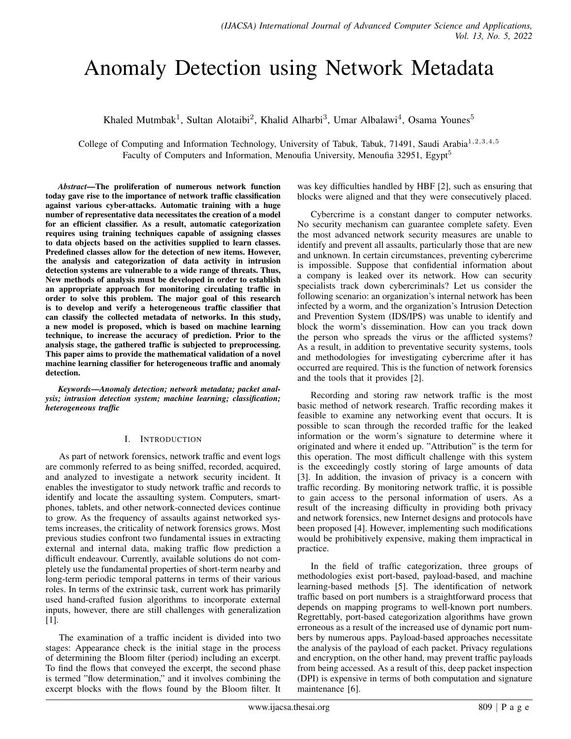# Anomaly Detection using Network Metadata

Khaled Mutmbak<sup>1</sup>, Sultan Alotaibi<sup>2</sup>, Khalid Alharbi<sup>3</sup>, Umar Albalawi<sup>4</sup>, Osama Younes<sup>5</sup>

College of Computing and Information Technology, University of Tabuk, Tabuk, 71491, Saudi Arabia<sup>1,2,3,4,5</sup> Faculty of Computers and Information, Menoufia University, Menoufia 32951, Egypt<sup>5</sup>

*Abstract*—The proliferation of numerous network function today gave rise to the importance of network traffic classification against various cyber-attacks. Automatic training with a huge number of representative data necessitates the creation of a model for an efficient classifier. As a result, automatic categorization requires using training techniques capable of assigning classes to data objects based on the activities supplied to learn classes. Predefined classes allow for the detection of new items. However, the analysis and categorization of data activity in intrusion detection systems are vulnerable to a wide range of threats. Thus, New methods of analysis must be developed in order to establish an appropriate approach for monitoring circulating traffic in order to solve this problem. The major goal of this research is to develop and verify a heterogeneous traffic classifier that can classify the collected metadata of networks. In this study, a new model is proposed, which is based on machine learning technique, to increase the accuracy of prediction. Prior to the analysis stage, the gathered traffic is subjected to preprocessing. This paper aims to provide the mathematical validation of a novel machine learning classifier for heterogeneous traffic and anomaly detection.

*Keywords*—*Anomaly detection; network metadata; packet analysis; intrusion detection system; machine learning; classification; heterogeneous traffic*

#### I. INTRODUCTION

As part of network forensics, network traffic and event logs are commonly referred to as being sniffed, recorded, acquired, and analyzed to investigate a network security incident. It enables the investigator to study network traffic and records to identify and locate the assaulting system. Computers, smartphones, tablets, and other network-connected devices continue to grow. As the frequency of assaults against networked systems increases, the criticality of network forensics grows. Most previous studies confront two fundamental issues in extracting external and internal data, making traffic flow prediction a difficult endeavour. Currently, available solutions do not completely use the fundamental properties of short-term nearby and long-term periodic temporal patterns in terms of their various roles. In terms of the extrinsic task, current work has primarily used hand-crafted fusion algorithms to incorporate external inputs, however, there are still challenges with generalization [1].

The examination of a traffic incident is divided into two stages: Appearance check is the initial stage in the process of determining the Bloom filter (period) including an excerpt. To find the flows that conveyed the excerpt, the second phase is termed "flow determination," and it involves combining the excerpt blocks with the flows found by the Bloom filter. It was key difficulties handled by HBF [2], such as ensuring that blocks were aligned and that they were consecutively placed.

Cybercrime is a constant danger to computer networks. No security mechanism can guarantee complete safety. Even the most advanced network security measures are unable to identify and prevent all assaults, particularly those that are new and unknown. In certain circumstances, preventing cybercrime is impossible. Suppose that confidential information about a company is leaked over its network. How can security specialists track down cybercriminals? Let us consider the following scenario: an organization's internal network has been infected by a worm, and the organization's Intrusion Detection and Prevention System (IDS/IPS) was unable to identify and block the worm's dissemination. How can you track down the person who spreads the virus or the afflicted systems? As a result, in addition to preventative security systems, tools and methodologies for investigating cybercrime after it has occurred are required. This is the function of network forensics and the tools that it provides [2].

Recording and storing raw network traffic is the most basic method of network research. Traffic recording makes it feasible to examine any networking event that occurs. It is possible to scan through the recorded traffic for the leaked information or the worm's signature to determine where it originated and where it ended up. "Attribution" is the term for this operation. The most difficult challenge with this system is the exceedingly costly storing of large amounts of data [3]. In addition, the invasion of privacy is a concern with traffic recording. By monitoring network traffic, it is possible to gain access to the personal information of users. As a result of the increasing difficulty in providing both privacy and network forensics, new Internet designs and protocols have been proposed [4]. However, implementing such modifications would be prohibitively expensive, making them impractical in practice.

In the field of traffic categorization, three groups of methodologies exist port-based, payload-based, and machine learning-based methods [5]. The identification of network traffic based on port numbers is a straightforward process that depends on mapping programs to well-known port numbers. Regrettably, port-based categorization algorithms have grown erroneous as a result of the increased use of dynamic port numbers by numerous apps. Payload-based approaches necessitate the analysis of the payload of each packet. Privacy regulations and encryption, on the other hand, may prevent traffic payloads from being accessed. As a result of this, deep packet inspection (DPI) is expensive in terms of both computation and signature maintenance [6].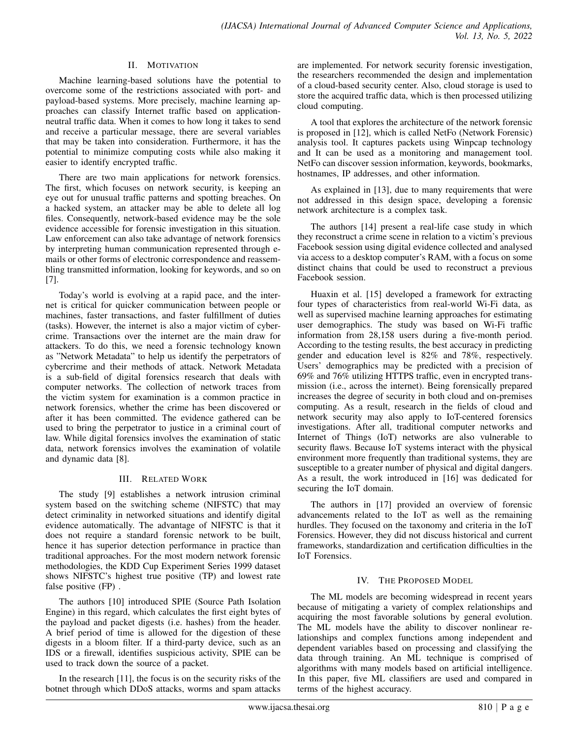### II. MOTIVATION

Machine learning-based solutions have the potential to overcome some of the restrictions associated with port- and payload-based systems. More precisely, machine learning approaches can classify Internet traffic based on applicationneutral traffic data. When it comes to how long it takes to send and receive a particular message, there are several variables that may be taken into consideration. Furthermore, it has the potential to minimize computing costs while also making it easier to identify encrypted traffic.

There are two main applications for network forensics. The first, which focuses on network security, is keeping an eye out for unusual traffic patterns and spotting breaches. On a hacked system, an attacker may be able to delete all log files. Consequently, network-based evidence may be the sole evidence accessible for forensic investigation in this situation. Law enforcement can also take advantage of network forensics by interpreting human communication represented through emails or other forms of electronic correspondence and reassembling transmitted information, looking for keywords, and so on [7].

Today's world is evolving at a rapid pace, and the internet is critical for quicker communication between people or machines, faster transactions, and faster fulfillment of duties (tasks). However, the internet is also a major victim of cybercrime. Transactions over the internet are the main draw for attackers. To do this, we need a forensic technology known as "Network Metadata" to help us identify the perpetrators of cybercrime and their methods of attack. Network Metadata is a sub-field of digital forensics research that deals with computer networks. The collection of network traces from the victim system for examination is a common practice in network forensics, whether the crime has been discovered or after it has been committed. The evidence gathered can be used to bring the perpetrator to justice in a criminal court of law. While digital forensics involves the examination of static data, network forensics involves the examination of volatile and dynamic data [8].

# III. RELATED WORK

The study [9] establishes a network intrusion criminal system based on the switching scheme (NIFSTC) that may detect criminality in networked situations and identify digital evidence automatically. The advantage of NIFSTC is that it does not require a standard forensic network to be built, hence it has superior detection performance in practice than traditional approaches. For the most modern network forensic methodologies, the KDD Cup Experiment Series 1999 dataset shows NIFSTC's highest true positive (TP) and lowest rate false positive (FP) .

The authors [10] introduced SPIE (Source Path Isolation Engine) in this regard, which calculates the first eight bytes of the payload and packet digests (i.e. hashes) from the header. A brief period of time is allowed for the digestion of these digests in a bloom filter. If a third-party device, such as an IDS or a firewall, identifies suspicious activity, SPIE can be used to track down the source of a packet.

In the research [11], the focus is on the security risks of the botnet through which DDoS attacks, worms and spam attacks are implemented. For network security forensic investigation, the researchers recommended the design and implementation of a cloud-based security center. Also, cloud storage is used to store the acquired traffic data, which is then processed utilizing cloud computing.

A tool that explores the architecture of the network forensic is proposed in [12], which is called NetFo (Network Forensic) analysis tool. It captures packets using Winpcap technology and It can be used as a monitoring and management tool. NetFo can discover session information, keywords, bookmarks, hostnames, IP addresses, and other information.

As explained in [13], due to many requirements that were not addressed in this design space, developing a forensic network architecture is a complex task.

The authors [14] present a real-life case study in which they reconstruct a crime scene in relation to a victim's previous Facebook session using digital evidence collected and analysed via access to a desktop computer's RAM, with a focus on some distinct chains that could be used to reconstruct a previous Facebook session.

Huaxin et al. [15] developed a framework for extracting four types of characteristics from real-world Wi-Fi data, as well as supervised machine learning approaches for estimating user demographics. The study was based on Wi-Fi traffic information from 28,158 users during a five-month period. According to the testing results, the best accuracy in predicting gender and education level is 82% and 78%, respectively. Users' demographics may be predicted with a precision of 69% and 76% utilizing HTTPS traffic, even in encrypted transmission (i.e., across the internet). Being forensically prepared increases the degree of security in both cloud and on-premises computing. As a result, research in the fields of cloud and network security may also apply to IoT-centered forensics investigations. After all, traditional computer networks and Internet of Things (IoT) networks are also vulnerable to security flaws. Because IoT systems interact with the physical environment more frequently than traditional systems, they are susceptible to a greater number of physical and digital dangers. As a result, the work introduced in [16] was dedicated for securing the IoT domain.

The authors in [17] provided an overview of forensic advancements related to the IoT as well as the remaining hurdles. They focused on the taxonomy and criteria in the IoT Forensics. However, they did not discuss historical and current frameworks, standardization and certification difficulties in the IoT Forensics.

# IV. THE PROPOSED MODEL

The ML models are becoming widespread in recent years because of mitigating a variety of complex relationships and acquiring the most favorable solutions by general evolution. The ML models have the ability to discover nonlinear relationships and complex functions among independent and dependent variables based on processing and classifying the data through training. An ML technique is comprised of algorithms with many models based on artificial intelligence. In this paper, five ML classifiers are used and compared in terms of the highest accuracy.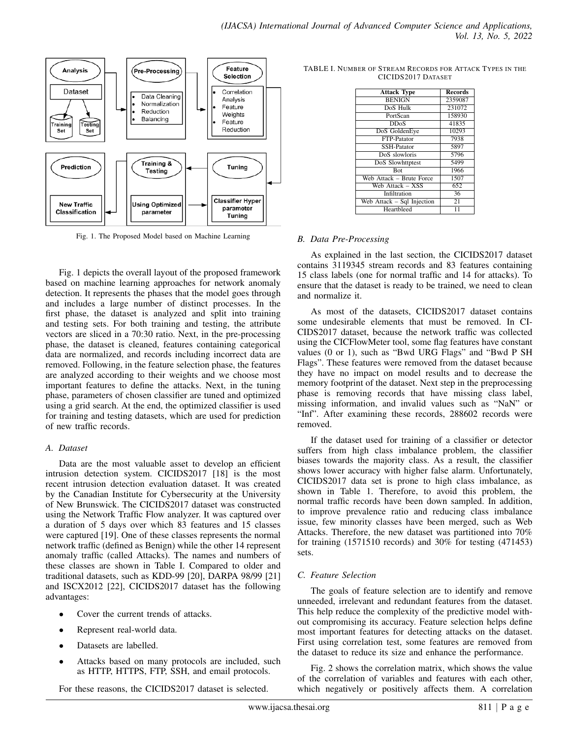

Fig. 1. The Proposed Model based on Machine Learning

Fig. 1 depicts the overall layout of the proposed framework based on machine learning approaches for network anomaly detection. It represents the phases that the model goes through and includes a large number of distinct processes. In the first phase, the dataset is analyzed and split into training and testing sets. For both training and testing, the attribute vectors are sliced in a 70:30 ratio. Next, in the pre-processing phase, the dataset is cleaned, features containing categorical data are normalized, and records including incorrect data are removed. Following, in the feature selection phase, the features are analyzed according to their weights and we choose most important features to define the attacks. Next, in the tuning phase, parameters of chosen classifier are tuned and optimized using a grid search. At the end, the optimized classifier is used for training and testing datasets, which are used for prediction of new traffic records.

#### *A. Dataset*

Data are the most valuable asset to develop an efficient intrusion detection system. CICIDS2017 [18] is the most recent intrusion detection evaluation dataset. It was created by the Canadian Institute for Cybersecurity at the University of New Brunswick. The CICIDS2017 dataset was constructed using the Network Traffic Flow analyzer. It was captured over a duration of 5 days over which 83 features and 15 classes were captured [19]. One of these classes represents the normal network traffic (defined as Benign) while the other 14 represent anomaly traffic (called Attacks). The names and numbers of these classes are shown in Table I. Compared to older and traditional datasets, such as KDD-99 [20], DARPA 98/99 [21] and ISCX2012 [22], CICIDS2017 dataset has the following advantages:

- Cover the current trends of attacks.
- Represent real-world data.
- Datasets are labelled.
- Attacks based on many protocols are included, such as HTTP, HTTPS, FTP, SSH, and email protocols.

For these reasons, the CICIDS2017 dataset is selected.

| <b>Attack Type</b>         | <b>Records</b>  |  |
|----------------------------|-----------------|--|
| <b>BENIGN</b>              | 2359087         |  |
| DoS Hulk                   | 231072          |  |
| PortScan                   | 158930          |  |
| DDoS                       | 41835           |  |
| DoS GoldenEye              | 10293           |  |
| FTP-Patator                | 7938            |  |
| <b>SSH-Patator</b>         | 5897            |  |
| DoS slowloris              | 5796            |  |
| DoS Slowhttptest           | 5499            |  |
| <b>Bot</b>                 | 1966            |  |
| Web Attack - Brute Force   | 1507            |  |
| Web Attack - XSS           | 652             |  |
| Infiltration               | 36              |  |
| Web Attack - Sql Injection | $\overline{21}$ |  |
| Heartbleed                 |                 |  |

TABLE I. NUMBER OF STREAM RECORDS FOR ATTACK TYPES IN THE CICIDS2017 DATASET

### *B. Data Pre-Processing*

As explained in the last section, the CICIDS2017 dataset contains 3119345 stream records and 83 features containing 15 class labels (one for normal traffic and 14 for attacks). To ensure that the dataset is ready to be trained, we need to clean and normalize it.

As most of the datasets, CICIDS2017 dataset contains some undesirable elements that must be removed. In CI-CIDS2017 dataset, because the network traffic was collected using the CICFlowMeter tool, some flag features have constant values (0 or 1), such as "Bwd URG Flags" and "Bwd P SH Flags". These features were removed from the dataset because they have no impact on model results and to decrease the memory footprint of the dataset. Next step in the preprocessing phase is removing records that have missing class label, missing information, and invalid values such as "NaN" or "Inf". After examining these records, 288602 records were removed.

If the dataset used for training of a classifier or detector suffers from high class imbalance problem, the classifier biases towards the majority class. As a result, the classifier shows lower accuracy with higher false alarm. Unfortunately, CICIDS2017 data set is prone to high class imbalance, as shown in Table 1. Therefore, to avoid this problem, the normal traffic records have been down sampled. In addition, to improve prevalence ratio and reducing class imbalance issue, few minority classes have been merged, such as Web Attacks. Therefore, the new dataset was partitioned into 70% for training (1571510 records) and 30% for testing (471453) sets.

# *C. Feature Selection*

The goals of feature selection are to identify and remove unneeded, irrelevant and redundant features from the dataset. This help reduce the complexity of the predictive model without compromising its accuracy. Feature selection helps define most important features for detecting attacks on the dataset. First using correlation test, some features are removed from the dataset to reduce its size and enhance the performance.

Fig. 2 shows the correlation matrix, which shows the value of the correlation of variables and features with each other, which negatively or positively affects them. A correlation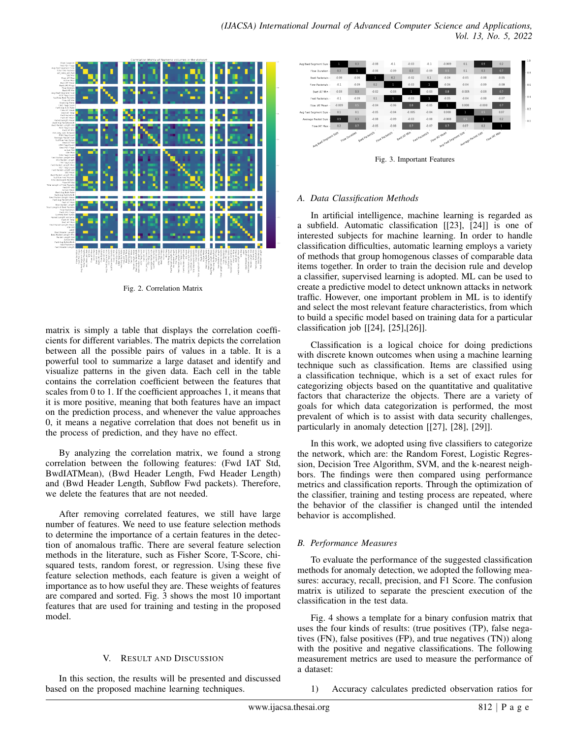

Fig. 2. Correlation Matrix

matrix is simply a table that displays the correlation coefficients for different variables. The matrix depicts the correlation between all the possible pairs of values in a table. It is a powerful tool to summarize a large dataset and identify and visualize patterns in the given data. Each cell in the table contains the correlation coefficient between the features that scales from 0 to 1. If the coefficient approaches 1, it means that it is more positive, meaning that both features have an impact on the prediction process, and whenever the value approaches 0, it means a negative correlation that does not benefit us in the process of prediction, and they have no effect.

By analyzing the correlation matrix, we found a strong correlation between the following features: (Fwd IAT Std, BwdIATMean), (Bwd Header Length, Fwd Header Length) and (Bwd Header Length, Subflow Fwd packets). Therefore, we delete the features that are not needed.

After removing correlated features, we still have large number of features. We need to use feature selection methods to determine the importance of a certain features in the detection of anomalous traffic. There are several feature selection methods in the literature, such as Fisher Score, T-Score, chisquared tests, random forest, or regression. Using these five feature selection methods, each feature is given a weight of importance as to how useful they are. These weights of features are compared and sorted. Fig. 3 shows the most 10 important features that are used for training and testing in the proposed model.

# V. RESULT AND DISCUSSION

In this section, the results will be presented and discussed based on the proposed machine learning techniques.



Fig. 3. Important Features

### *A. Data Classification Methods*

In artificial intelligence, machine learning is regarded as a subfield. Automatic classification [[23], [24]] is one of interested subjects for machine learning. In order to handle classification difficulties, automatic learning employs a variety of methods that group homogenous classes of comparable data items together. In order to train the decision rule and develop a classifier, supervised learning is adopted. ML can be used to create a predictive model to detect unknown attacks in network traffic. However, one important problem in ML is to identify and select the most relevant feature characteristics, from which to build a specific model based on training data for a particular classification job [[24], [25],[26]].

Classification is a logical choice for doing predictions with discrete known outcomes when using a machine learning technique such as classification. Items are classified using a classification technique, which is a set of exact rules for categorizing objects based on the quantitative and qualitative factors that characterize the objects. There are a variety of goals for which data categorization is performed, the most prevalent of which is to assist with data security challenges, particularly in anomaly detection [[27], [28], [29]].

In this work, we adopted using five classifiers to categorize the network, which are: the Random Forest, Logistic Regression, Decision Tree Algorithm, SVM, and the k-nearest neighbors. The findings were then compared using performance metrics and classification reports. Through the optimization of the classifier, training and testing process are repeated, where the behavior of the classifier is changed until the intended behavior is accomplished.

# *B. Performance Measures*

To evaluate the performance of the suggested classification methods for anomaly detection, we adopted the following measures: accuracy, recall, precision, and F1 Score. The confusion matrix is utilized to separate the prescient execution of the classification in the test data.

Fig. 4 shows a template for a binary confusion matrix that uses the four kinds of results: (true positives (TP), false negatives (FN), false positives (FP), and true negatives (TN)) along with the positive and negative classifications. The following measurement metrics are used to measure the performance of a dataset:

1) Accuracy calculates predicted observation ratios for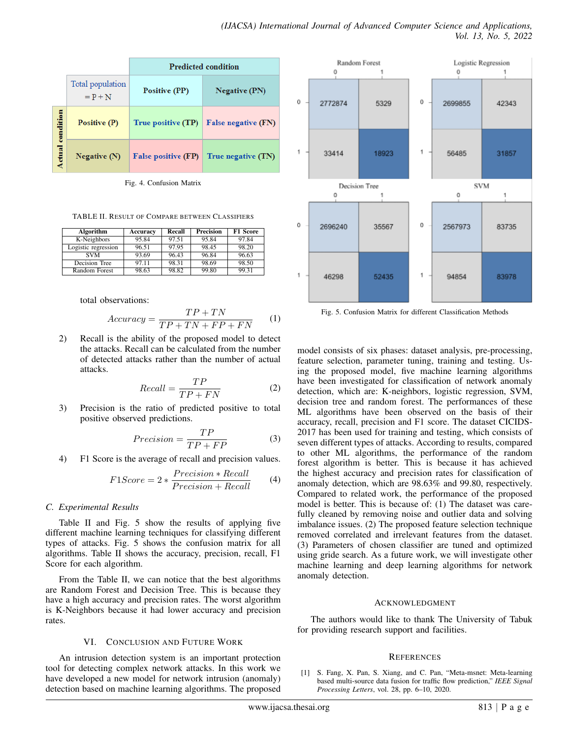|                         |                               | <b>Predicted condition</b> |                            |  |
|-------------------------|-------------------------------|----------------------------|----------------------------|--|
|                         | Total population<br>$= P + N$ | <b>Positive (PP)</b>       | <b>Negative (PN)</b>       |  |
| <b>Actual condition</b> | Positive (P)                  | True positive (TP)         | <b>False negative (FN)</b> |  |
|                         | Negative $(N)$                | <b>False positive (FP)</b> | True negative (TN)         |  |

Fig. 4. Confusion Matrix

TABLE II. RESULT OF COMPARE BETWEEN CLASSIFIERS

| Algorithm           | Accuracy | Recall | <b>Precision</b> | <b>F1 Score</b> |
|---------------------|----------|--------|------------------|-----------------|
| K-Neighbors         | 95.84    | 97.51  | 95.84            | 97.84           |
| Logistic regression | 96.51    | 97.95  | 98.45            | 98.20           |
| <b>SVM</b>          | 93.69    | 96.43  | 96.84            | 96.63           |
| Decision Tree       | 97.11    | 98.31  | 98.69            | 98.50           |
| Random Forest       | 98.63    | 98.82  | 99.80            | 99.31           |

total observations:

$$
Accuracy = \frac{TP + TN}{TP + TN + FP + FN}
$$
 (1)

2) Recall is the ability of the proposed model to detect the attacks. Recall can be calculated from the number of detected attacks rather than the number of actual attacks.

$$
Recall = \frac{TP}{TP + FN}
$$
 (2)

3) Precision is the ratio of predicted positive to total positive observed predictions.

$$
Precision = \frac{TP}{TP + FP}
$$
 (3)

4) F1 Score is the average of recall and precision values.

$$
F1Score = 2 * \frac{Precision * Recall}{Precision + Recall}
$$
 (4)

#### *C. Experimental Results*

Table II and Fig. 5 show the results of applying five different machine learning techniques for classifying different types of attacks. Fig. 5 shows the confusion matrix for all algorithms. Table II shows the accuracy, precision, recall, F1 Score for each algorithm.

From the Table II, we can notice that the best algorithms are Random Forest and Decision Tree. This is because they have a high accuracy and precision rates. The worst algorithm is K-Neighbors because it had lower accuracy and precision rates.

#### VI. CONCLUSION AND FUTURE WORK

An intrusion detection system is an important protection tool for detecting complex network attacks. In this work we have developed a new model for network intrusion (anomaly) detection based on machine learning algorithms. The proposed



Fig. 5. Confusion Matrix for different Classification Methods

model consists of six phases: dataset analysis, pre-processing, feature selection, parameter tuning, training and testing. Using the proposed model, five machine learning algorithms have been investigated for classification of network anomaly detection, which are: K-neighbors, logistic regression, SVM, decision tree and random forest. The performances of these ML algorithms have been observed on the basis of their accuracy, recall, precision and F1 score. The dataset CICIDS-2017 has been used for training and testing, which consists of seven different types of attacks. According to results, compared to other ML algorithms, the performance of the random forest algorithm is better. This is because it has achieved the highest accuracy and precision rates for classification of anomaly detection, which are 98.63% and 99.80, respectively. Compared to related work, the performance of the proposed model is better. This is because of: (1) The dataset was carefully cleaned by removing noise and outlier data and solving imbalance issues. (2) The proposed feature selection technique removed correlated and irrelevant features from the dataset. (3) Parameters of chosen classifier are tuned and optimized using gride search. As a future work, we will investigate other machine learning and deep learning algorithms for network anomaly detection.

#### ACKNOWLEDGMENT

The authors would like to thank The University of Tabuk for providing research support and facilities.

#### **REFERENCES**

[1] S. Fang, X. Pan, S. Xiang, and C. Pan, "Meta-msnet: Meta-learning based multi-source data fusion for traffic flow prediction," *IEEE Signal Processing Letters*, vol. 28, pp. 6–10, 2020.